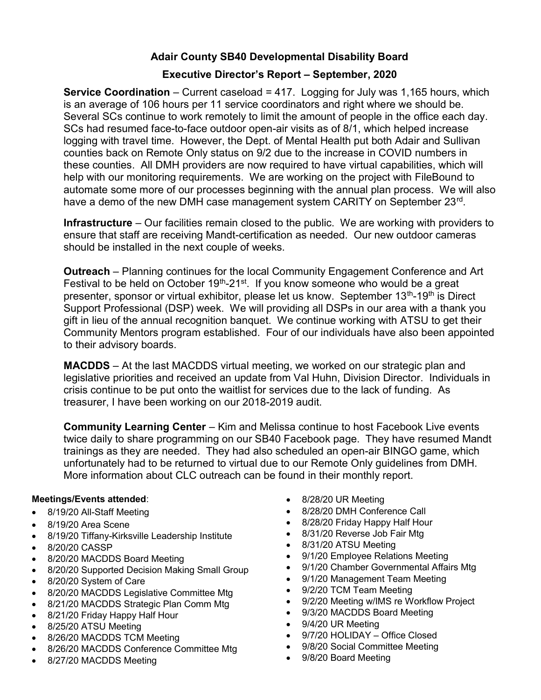## Adair County SB40 Developmental Disability Board

## Executive Director's Report – September, 2020

**Service Coordination** – Current caseload  $= 417$ . Logging for July was 1,165 hours, which is an average of 106 hours per 11 service coordinators and right where we should be. Several SCs continue to work remotely to limit the amount of people in the office each day. SCs had resumed face-to-face outdoor open-air visits as of 8/1, which helped increase logging with travel time. However, the Dept. of Mental Health put both Adair and Sullivan counties back on Remote Only status on 9/2 due to the increase in COVID numbers in these counties. All DMH providers are now required to have virtual capabilities, which will help with our monitoring requirements. We are working on the project with FileBound to automate some more of our processes beginning with the annual plan process. We will also have a demo of the new DMH case management system CARITY on September 23<sup>rd</sup>.

Infrastructure – Our facilities remain closed to the public. We are working with providers to ensure that staff are receiving Mandt-certification as needed. Our new outdoor cameras should be installed in the next couple of weeks.

Outreach – Planning continues for the local Community Engagement Conference and Art Festival to be held on October  $19<sup>th</sup> - 21<sup>st</sup>$ . If you know someone who would be a great presenter, sponsor or virtual exhibitor, please let us know. September 13<sup>th</sup>-19<sup>th</sup> is Direct Support Professional (DSP) week. We will providing all DSPs in our area with a thank you gift in lieu of the annual recognition banquet. We continue working with ATSU to get their Community Mentors program established. Four of our individuals have also been appointed to their advisory boards.

MACDDS – At the last MACDDS virtual meeting, we worked on our strategic plan and legislative priorities and received an update from Val Huhn, Division Director. Individuals in crisis continue to be put onto the waitlist for services due to the lack of funding. As treasurer, I have been working on our 2018-2019 audit.

Community Learning Center – Kim and Melissa continue to host Facebook Live events twice daily to share programming on our SB40 Facebook page. They have resumed Mandt trainings as they are needed. They had also scheduled an open-air BINGO game, which unfortunately had to be returned to virtual due to our Remote Only guidelines from DMH. More information about CLC outreach can be found in their monthly report.

## Meetings/Events attended:

- 8/19/20 All-Staff Meeting
- 8/19/20 Area Scene
- 8/19/20 Tiffany-Kirksville Leadership Institute
- 8/20/20 CASSP
- 8/20/20 MACDDS Board Meeting
- 8/20/20 Supported Decision Making Small Group
- 8/20/20 System of Care
- 8/20/20 MACDDS Legislative Committee Mtg
- 8/21/20 MACDDS Strategic Plan Comm Mtg
- 8/21/20 Friday Happy Half Hour
- 8/25/20 ATSU Meeting
- 8/26/20 MACDDS TCM Meeting
- 8/26/20 MACDDS Conference Committee Mtg
- 8/27/20 MACDDS Meeting
- 8/28/20 UR Meeting
- 8/28/20 DMH Conference Call
- 8/28/20 Friday Happy Half Hour
- 8/31/20 Reverse Job Fair Mtg
- 8/31/20 ATSU Meeting
- 9/1/20 Employee Relations Meeting
- 9/1/20 Chamber Governmental Affairs Mtg
- 9/1/20 Management Team Meeting
- 9/2/20 TCM Team Meeting
- 9/2/20 Meeting w/IMS re Workflow Project
- 9/3/20 MACDDS Board Meeting
- 9/4/20 UR Meeting
- 9/7/20 HOLIDAY Office Closed
- 9/8/20 Social Committee Meeting
- 9/8/20 Board Meeting